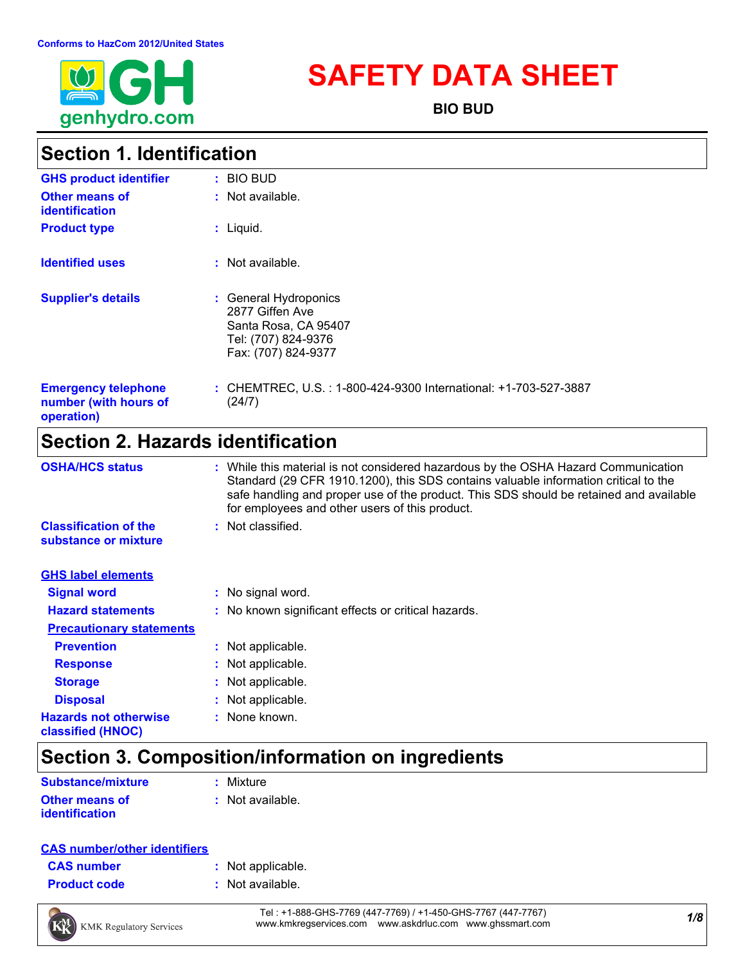

# **SAFETY DATA SHEET**

**BIO BUD**

# **Section 1. Identification**

| <b>GHS product identifier</b>                                     | : BIO BUD                                                                                                      |
|-------------------------------------------------------------------|----------------------------------------------------------------------------------------------------------------|
| Other means of<br><b>identification</b>                           | $:$ Not available.                                                                                             |
| <b>Product type</b>                                               | $:$ Liquid.                                                                                                    |
| <b>Identified uses</b>                                            | $:$ Not available.                                                                                             |
| <b>Supplier's details</b>                                         | : General Hydroponics<br>2877 Giffen Ave<br>Santa Rosa, CA 95407<br>Tel: (707) 824-9376<br>Fax: (707) 824-9377 |
| <b>Emergency telephone</b><br>number (with hours of<br>operation) | : CHEMTREC, U.S. : 1-800-424-9300 International: +1-703-527-3887<br>(24/7)                                     |

# **Section 2. Hazards identification**

| <b>OSHA/HCS status</b>                               | : While this material is not considered hazardous by the OSHA Hazard Communication<br>Standard (29 CFR 1910.1200), this SDS contains valuable information critical to the<br>safe handling and proper use of the product. This SDS should be retained and available<br>for employees and other users of this product. |
|------------------------------------------------------|-----------------------------------------------------------------------------------------------------------------------------------------------------------------------------------------------------------------------------------------------------------------------------------------------------------------------|
| <b>Classification of the</b><br>substance or mixture | : Not classified.                                                                                                                                                                                                                                                                                                     |
| <b>GHS label elements</b>                            |                                                                                                                                                                                                                                                                                                                       |
| <b>Signal word</b>                                   | : No signal word.                                                                                                                                                                                                                                                                                                     |
| <b>Hazard statements</b>                             | : No known significant effects or critical hazards.                                                                                                                                                                                                                                                                   |
| <b>Precautionary statements</b>                      |                                                                                                                                                                                                                                                                                                                       |
| <b>Prevention</b>                                    | : Not applicable.                                                                                                                                                                                                                                                                                                     |
| <b>Response</b>                                      | : Not applicable.                                                                                                                                                                                                                                                                                                     |
| <b>Storage</b>                                       | : Not applicable.                                                                                                                                                                                                                                                                                                     |
| <b>Disposal</b>                                      | : Not applicable.                                                                                                                                                                                                                                                                                                     |
| <b>Hazards not otherwise</b><br>classified (HNOC)    | : None known.                                                                                                                                                                                                                                                                                                         |

# **Section 3. Composition/information on ingredients**

| <b>Substance/mixture</b> | : Mixture          |
|--------------------------|--------------------|
| <b>Other means of</b>    | $:$ Not available. |
| <i>identification</i>    |                    |

### **CAS number/other identifiers**

| <b>CAS number</b> |  |
|-------------------|--|
|                   |  |

- **:** Not applicable.
- **Product code :** Not available.

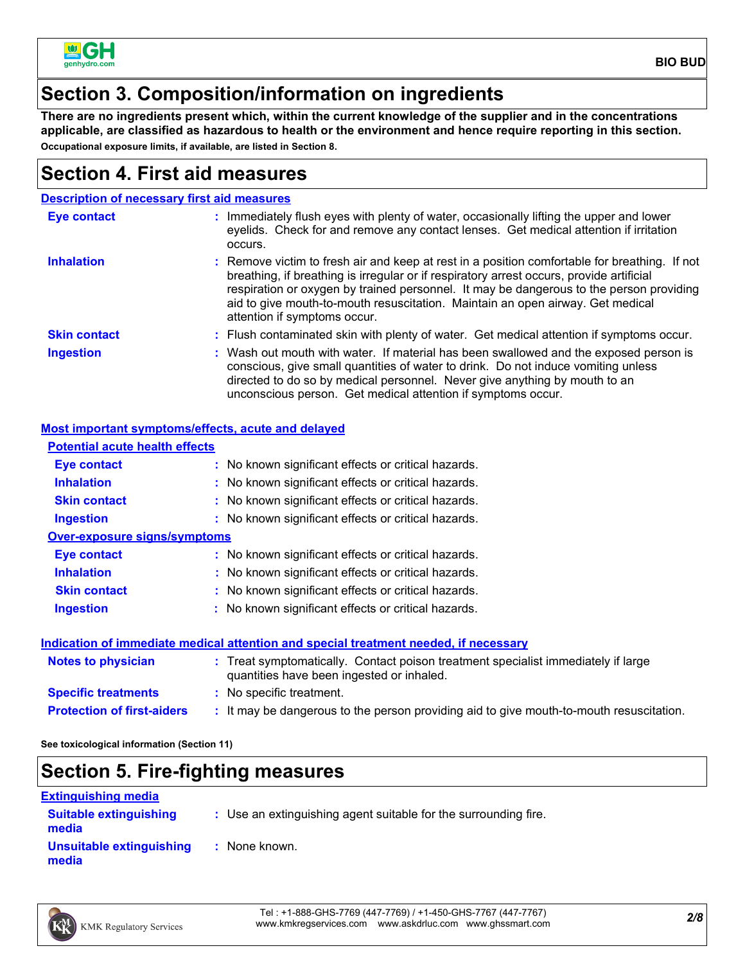

## **Section 3. Composition/information on ingredients**

**There are no ingredients present which, within the current knowledge of the supplier and in the concentrations applicable, are classified as hazardous to health or the environment and hence require reporting in this section. Occupational exposure limits, if available, are listed in Section 8.**

### **Section 4. First aid measures**

|                     | <b>Description of necessary first aid measures</b>                                                                                                                                                                                                                                                                                                                                                     |
|---------------------|--------------------------------------------------------------------------------------------------------------------------------------------------------------------------------------------------------------------------------------------------------------------------------------------------------------------------------------------------------------------------------------------------------|
| <b>Eye contact</b>  | : Immediately flush eyes with plenty of water, occasionally lifting the upper and lower<br>eyelids. Check for and remove any contact lenses. Get medical attention if irritation<br>occurs.                                                                                                                                                                                                            |
| <b>Inhalation</b>   | : Remove victim to fresh air and keep at rest in a position comfortable for breathing. If not<br>breathing, if breathing is irregular or if respiratory arrest occurs, provide artificial<br>respiration or oxygen by trained personnel. It may be dangerous to the person providing<br>aid to give mouth-to-mouth resuscitation. Maintain an open airway. Get medical<br>attention if symptoms occur. |
| <b>Skin contact</b> | : Flush contaminated skin with plenty of water. Get medical attention if symptoms occur.                                                                                                                                                                                                                                                                                                               |
| <b>Ingestion</b>    | : Wash out mouth with water. If material has been swallowed and the exposed person is<br>conscious, give small quantities of water to drink. Do not induce vomiting unless<br>directed to do so by medical personnel. Never give anything by mouth to an<br>unconscious person. Get medical attention if symptoms occur.                                                                               |

### **Most important symptoms/effects, acute and delayed**

| <b>Potential acute health effects</b> |                                                                                                                                |
|---------------------------------------|--------------------------------------------------------------------------------------------------------------------------------|
| Eye contact                           | : No known significant effects or critical hazards.                                                                            |
| <b>Inhalation</b>                     | : No known significant effects or critical hazards.                                                                            |
| <b>Skin contact</b>                   | : No known significant effects or critical hazards.                                                                            |
| <b>Ingestion</b>                      | : No known significant effects or critical hazards.                                                                            |
| <b>Over-exposure signs/symptoms</b>   |                                                                                                                                |
| Eye contact                           | : No known significant effects or critical hazards.                                                                            |
| <b>Inhalation</b>                     | : No known significant effects or critical hazards.                                                                            |
| <b>Skin contact</b>                   | : No known significant effects or critical hazards.                                                                            |
| <b>Ingestion</b>                      | : No known significant effects or critical hazards.                                                                            |
|                                       | Indication of immediate medical attention and special treatment needed, if necessary                                           |
| <b>Notes to physician</b>             | : Treat symptomatically. Contact poison treatment specialist immediately if large<br>quantities have been ingested or inhaled. |
| <b>Specific treatments</b>            | : No specific treatment.                                                                                                       |
| <b>Protection of first-aiders</b>     | : It may be dangerous to the person providing aid to give mouth-to-mouth resuscitation.                                        |

**See toxicological information (Section 11)**

# **Section 5. Fire-fighting measures**

| <b>Extinguishing media</b>             |                                                                 |
|----------------------------------------|-----------------------------------------------------------------|
| <b>Suitable extinguishing</b><br>media | : Use an extinguishing agent suitable for the surrounding fire. |
| Unsuitable extinguishing<br>media      | : None known.                                                   |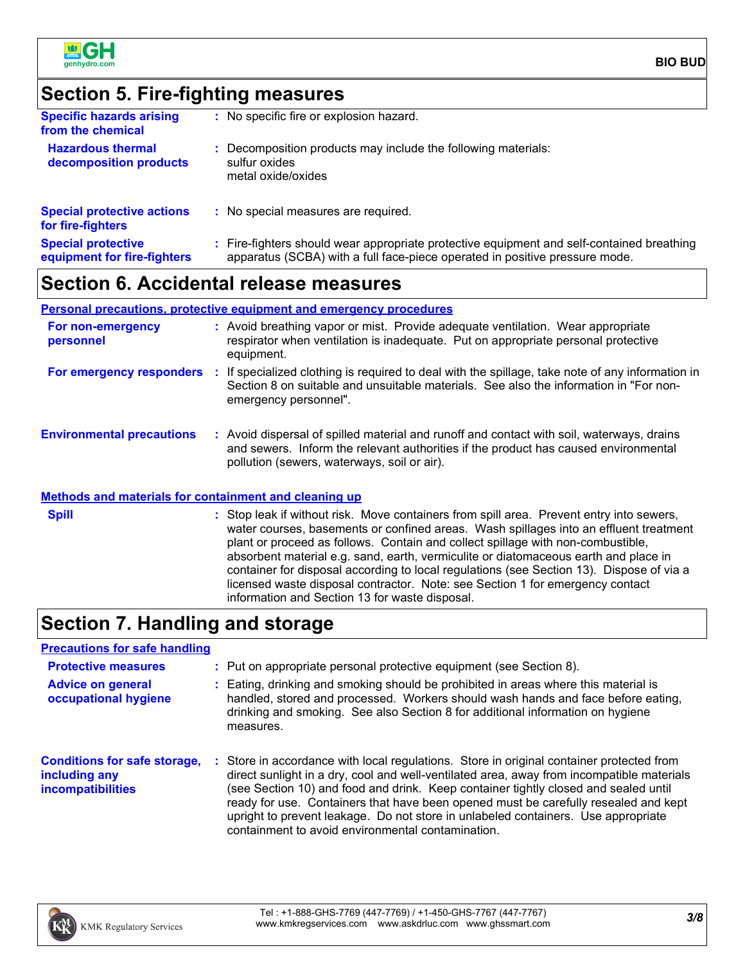

# **Section 5. Fire-fighting measures**

| <b>Specific hazards arising</b><br>from the chemical     | : No specific fire or explosion hazard.                                                                                                                                  |
|----------------------------------------------------------|--------------------------------------------------------------------------------------------------------------------------------------------------------------------------|
| <b>Hazardous thermal</b><br>decomposition products       | : Decomposition products may include the following materials:<br>sulfur oxides<br>metal oxide/oxides                                                                     |
| <b>Special protective actions</b><br>for fire-fighters   | : No special measures are required.                                                                                                                                      |
| <b>Special protective</b><br>equipment for fire-fighters | : Fire-fighters should wear appropriate protective equipment and self-contained breathing<br>apparatus (SCBA) with a full face-piece operated in positive pressure mode. |
|                                                          |                                                                                                                                                                          |

# **Section 6. Accidental release measures**

### **Personal precautions, protective equipment and emergency procedures**

| For non-emergency<br>personnel   | : Avoid breathing vapor or mist. Provide adequate ventilation. Wear appropriate<br>respirator when ventilation is inadequate. Put on appropriate personal protective<br>equipment.                                              |
|----------------------------------|---------------------------------------------------------------------------------------------------------------------------------------------------------------------------------------------------------------------------------|
| For emergency responders         | If specialized clothing is required to deal with the spillage, take note of any information in<br>Section 8 on suitable and unsuitable materials. See also the information in "For non-<br>emergency personnel".                |
| <b>Environmental precautions</b> | : Avoid dispersal of spilled material and runoff and contact with soil, waterways, drains<br>and sewers. Inform the relevant authorities if the product has caused environmental<br>pollution (sewers, waterways, soil or air). |

### **Methods and materials for containment and cleaning up**

| <b>Spill</b> | : Stop leak if without risk. Move containers from spill area. Prevent entry into sewers,<br>water courses, basements or confined areas. Wash spillages into an effluent treatment                                           |
|--------------|-----------------------------------------------------------------------------------------------------------------------------------------------------------------------------------------------------------------------------|
|              | plant or proceed as follows. Contain and collect spillage with non-combustible,<br>absorbent material e.g. sand, earth, vermiculite or diatomaceous earth and place in                                                      |
|              | container for disposal according to local regulations (see Section 13). Dispose of via a<br>licensed waste disposal contractor. Note: see Section 1 for emergency contact<br>information and Section 13 for waste disposal. |

## **Section 7. Handling and storage**

### **Precautions for safe handling**

| <b>Protective measures</b>                                                       | : Put on appropriate personal protective equipment (see Section 8).                                                                                                                                                                                                                                                                                                                                                                                                                                           |
|----------------------------------------------------------------------------------|---------------------------------------------------------------------------------------------------------------------------------------------------------------------------------------------------------------------------------------------------------------------------------------------------------------------------------------------------------------------------------------------------------------------------------------------------------------------------------------------------------------|
| <b>Advice on general</b><br>occupational hygiene                                 | : Eating, drinking and smoking should be prohibited in areas where this material is<br>handled, stored and processed. Workers should wash hands and face before eating,<br>drinking and smoking. See also Section 8 for additional information on hygiene<br>measures.                                                                                                                                                                                                                                        |
| <b>Conditions for safe storage,</b><br>including any<br><i>incompatibilities</i> | : Store in accordance with local regulations. Store in original container protected from<br>direct sunlight in a dry, cool and well-ventilated area, away from incompatible materials<br>(see Section 10) and food and drink. Keep container tightly closed and sealed until<br>ready for use. Containers that have been opened must be carefully resealed and kept<br>upright to prevent leakage. Do not store in unlabeled containers. Use appropriate<br>containment to avoid environmental contamination. |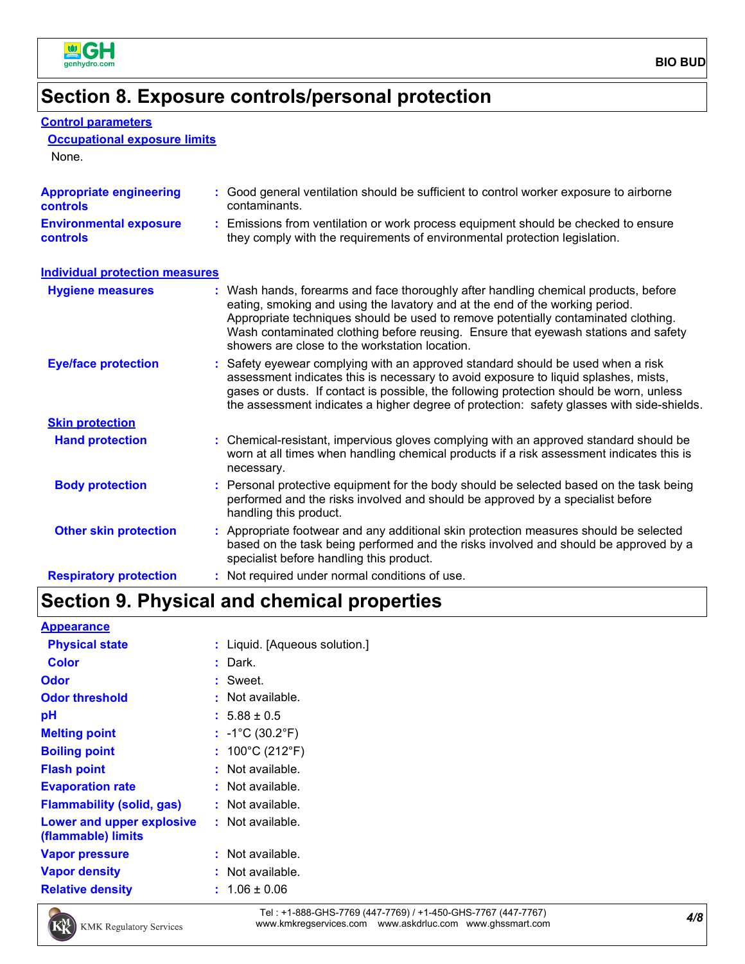

# **Section 8. Exposure controls/personal protection**

| <b>Control parameters</b><br><b>Occupational exposure limits</b><br>None. |                                                                                                                                                                                                                                                                                                                                                                                                   |
|---------------------------------------------------------------------------|---------------------------------------------------------------------------------------------------------------------------------------------------------------------------------------------------------------------------------------------------------------------------------------------------------------------------------------------------------------------------------------------------|
| <b>Appropriate engineering</b><br><b>controls</b>                         | : Good general ventilation should be sufficient to control worker exposure to airborne<br>contaminants.                                                                                                                                                                                                                                                                                           |
| <b>Environmental exposure</b><br><b>controls</b>                          | Emissions from ventilation or work process equipment should be checked to ensure<br>they comply with the requirements of environmental protection legislation.                                                                                                                                                                                                                                    |
| <b>Individual protection measures</b>                                     |                                                                                                                                                                                                                                                                                                                                                                                                   |
| <b>Hygiene measures</b>                                                   | : Wash hands, forearms and face thoroughly after handling chemical products, before<br>eating, smoking and using the lavatory and at the end of the working period.<br>Appropriate techniques should be used to remove potentially contaminated clothing.<br>Wash contaminated clothing before reusing. Ensure that eyewash stations and safety<br>showers are close to the workstation location. |
| <b>Eye/face protection</b>                                                | : Safety eyewear complying with an approved standard should be used when a risk<br>assessment indicates this is necessary to avoid exposure to liquid splashes, mists,<br>gases or dusts. If contact is possible, the following protection should be worn, unless<br>the assessment indicates a higher degree of protection: safety glasses with side-shields.                                    |
| <b>Skin protection</b>                                                    |                                                                                                                                                                                                                                                                                                                                                                                                   |
| <b>Hand protection</b>                                                    | : Chemical-resistant, impervious gloves complying with an approved standard should be<br>worn at all times when handling chemical products if a risk assessment indicates this is<br>necessary.                                                                                                                                                                                                   |
| <b>Body protection</b>                                                    | : Personal protective equipment for the body should be selected based on the task being<br>performed and the risks involved and should be approved by a specialist before<br>handling this product.                                                                                                                                                                                               |
| <b>Other skin protection</b>                                              | : Appropriate footwear and any additional skin protection measures should be selected<br>based on the task being performed and the risks involved and should be approved by a<br>specialist before handling this product.                                                                                                                                                                         |
| <b>Respiratory protection</b>                                             | : Not required under normal conditions of use.                                                                                                                                                                                                                                                                                                                                                    |

# **Section 9. Physical and chemical properties**

| <b>Appearance</b> |  |  |  |  |
|-------------------|--|--|--|--|
|                   |  |  |  |  |

| <b>Physical state</b>                           | : Liquid. [Aqueous solution.]        |
|-------------------------------------------------|--------------------------------------|
| <b>Color</b>                                    | Dark.                                |
| Odor                                            | : Sweet.                             |
| <b>Odor threshold</b>                           | $:$ Not available.                   |
| рH                                              | $: 5.88 \pm 0.5$                     |
| <b>Melting point</b>                            | : $-1^{\circ}C(30.2^{\circ}F)$       |
| <b>Boiling point</b>                            | : $100^{\circ}$ C (212 $^{\circ}$ F) |
| <b>Flash point</b>                              | $:$ Not available.                   |
| <b>Evaporation rate</b>                         | $:$ Not available.                   |
| <b>Flammability (solid, gas)</b>                | $:$ Not available.                   |
| Lower and upper explosive<br>(flammable) limits | $:$ Not available.                   |
| <b>Vapor pressure</b>                           | $:$ Not available.                   |
| <b>Vapor density</b>                            | $:$ Not available.                   |
| <b>Relative density</b>                         | $: 1.06 \pm 0.06$                    |

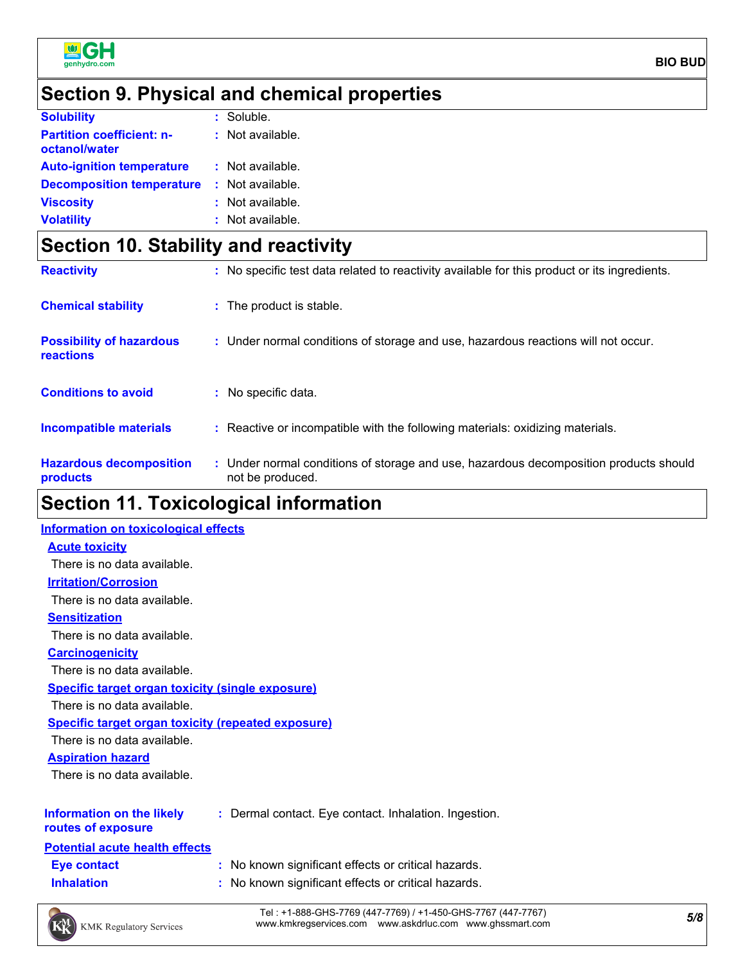

**BIO BUD**

# **Section 9. Physical and chemical properties**

| <b>Solubility</b>                                 | $:$ Soluble.     |
|---------------------------------------------------|------------------|
| <b>Partition coefficient: n-</b><br>octanol/water | : Not available. |
| <b>Auto-ignition temperature</b>                  | : Not available. |
| <b>Decomposition temperature</b>                  | : Not available. |
| <b>Viscosity</b>                                  | : Not available. |
| <b>Volatility</b>                                 | : Not available. |

# **Section 10. Stability and reactivity**

| <b>Hazardous decomposition</b><br>products          | : Under normal conditions of storage and use, hazardous decomposition products should<br>not be produced. |
|-----------------------------------------------------|-----------------------------------------------------------------------------------------------------------|
| <b>Incompatible materials</b>                       | : Reactive or incompatible with the following materials: oxidizing materials.                             |
| <b>Conditions to avoid</b>                          | : No specific data.                                                                                       |
| <b>Possibility of hazardous</b><br><b>reactions</b> | : Under normal conditions of storage and use, hazardous reactions will not occur.                         |
| <b>Chemical stability</b>                           | : The product is stable.                                                                                  |
| <b>Reactivity</b>                                   | : No specific test data related to reactivity available for this product or its ingredients.              |

# **Section 11. Toxicological information**

| <b>Information on toxicological effects</b>               |                                                       |
|-----------------------------------------------------------|-------------------------------------------------------|
| <b>Acute toxicity</b>                                     |                                                       |
| There is no data available.                               |                                                       |
| <b>Irritation/Corrosion</b>                               |                                                       |
| There is no data available.                               |                                                       |
| <b>Sensitization</b>                                      |                                                       |
| There is no data available.                               |                                                       |
| <b>Carcinogenicity</b>                                    |                                                       |
| There is no data available.                               |                                                       |
| <b>Specific target organ toxicity (single exposure)</b>   |                                                       |
| There is no data available.                               |                                                       |
| <b>Specific target organ toxicity (repeated exposure)</b> |                                                       |
| There is no data available.                               |                                                       |
| <b>Aspiration hazard</b>                                  |                                                       |
| There is no data available.                               |                                                       |
|                                                           |                                                       |
| Information on the likely<br>routes of exposure           | : Dermal contact. Eye contact. Inhalation. Ingestion. |
| <b>Potential acute health effects</b>                     |                                                       |
| <b>Eye contact</b>                                        | : No known significant effects or critical hazards.   |
| <b>Inhalation</b>                                         | : No known significant effects or critical hazards.   |
|                                                           |                                                       |
|                                                           |                                                       |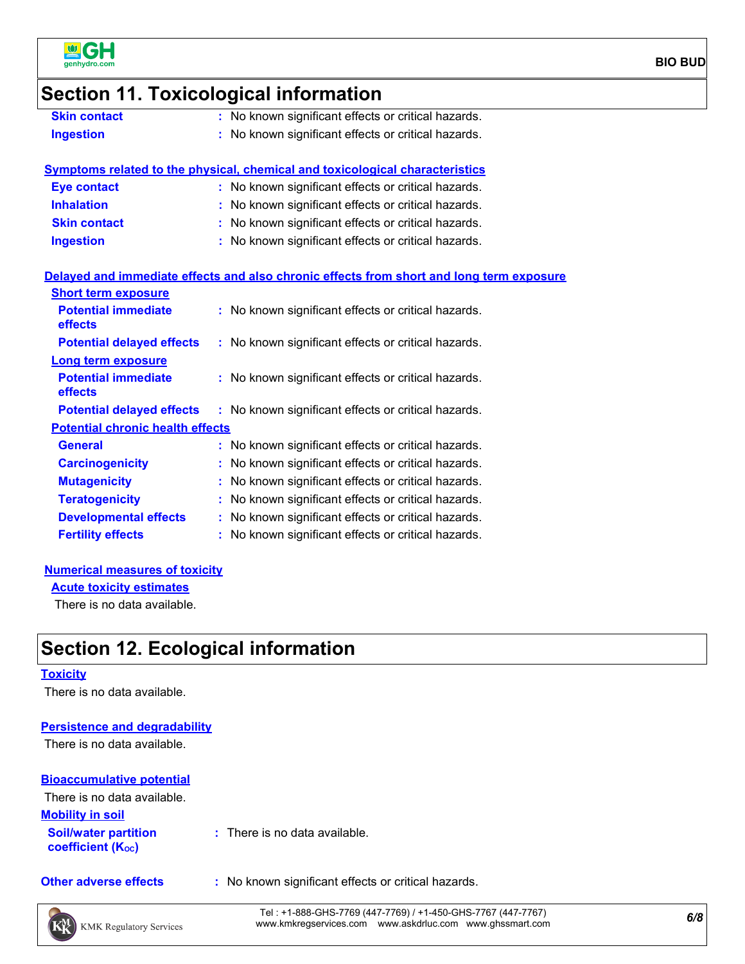

### **Section 11. Toxicological information**

- 
- **Skin contact :** No known significant effects or critical hazards.
- **Ingestion :** No known significant effects or critical hazards.

### **Symptoms related to the physical, chemical and toxicological characteristics**

| <b>Eye contact</b>  | : No known significant effects or critical hazards. |
|---------------------|-----------------------------------------------------|
| <b>Inhalation</b>   | : No known significant effects or critical hazards. |
| <b>Skin contact</b> | : No known significant effects or critical hazards. |
| <b>Ingestion</b>    | : No known significant effects or critical hazards. |

### **Delayed and immediate effects and also chronic effects from short and long term exposure**

| <b>Short term exposure</b>                   |                                                     |
|----------------------------------------------|-----------------------------------------------------|
| <b>Potential immediate</b><br><b>effects</b> | : No known significant effects or critical hazards. |
| <b>Potential delayed effects</b>             | : No known significant effects or critical hazards. |
| Long term exposure                           |                                                     |
| <b>Potential immediate</b><br><b>effects</b> | : No known significant effects or critical hazards. |
| <b>Potential delayed effects</b>             | : No known significant effects or critical hazards. |
| <b>Potential chronic health effects</b>      |                                                     |
| <b>General</b>                               | : No known significant effects or critical hazards. |
| <b>Carcinogenicity</b>                       | : No known significant effects or critical hazards. |
| <b>Mutagenicity</b>                          | : No known significant effects or critical hazards. |
| <b>Teratogenicity</b>                        | : No known significant effects or critical hazards. |
| <b>Developmental effects</b>                 | : No known significant effects or critical hazards. |
| <b>Fertility effects</b>                     | : No known significant effects or critical hazards. |

### **Numerical measures of toxicity**

**Acute toxicity estimates**

There is no data available.

## **Section 12. Ecological information**

#### **Toxicity**

There is no data available.

### **Persistence and degradability**

There is no data available.

#### **Bioaccumulative potential**

| There is no data available.                             |                               |
|---------------------------------------------------------|-------------------------------|
| <b>Mobility in soil</b>                                 |                               |
| <b>Soil/water partition</b><br><b>coefficient (Koc)</b> | : There is no data available. |

- 
- **Other adverse effects** : No known significant effects or critical hazards.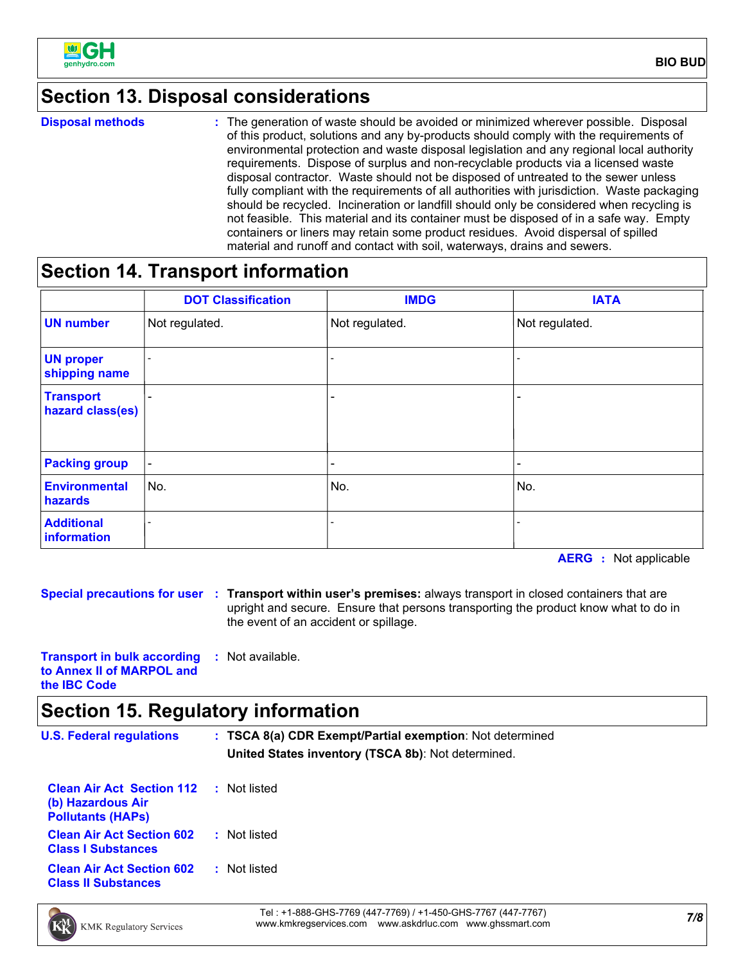

# **Section 13. Disposal considerations**

**Disposal methods :**

The generation of waste should be avoided or minimized wherever possible. Disposal of this product, solutions and any by-products should comply with the requirements of environmental protection and waste disposal legislation and any regional local authority requirements. Dispose of surplus and non-recyclable products via a licensed waste disposal contractor. Waste should not be disposed of untreated to the sewer unless fully compliant with the requirements of all authorities with jurisdiction. Waste packaging should be recycled. Incineration or landfill should only be considered when recycling is not feasible. This material and its container must be disposed of in a safe way. Empty containers or liners may retain some product residues. Avoid dispersal of spilled material and runoff and contact with soil, waterways, drains and sewers.

## **Section 14. Transport information**

|                                      | <b>DOT Classification</b> | <b>IMDG</b>    | <b>IATA</b>                  |
|--------------------------------------|---------------------------|----------------|------------------------------|
| <b>UN number</b>                     | Not regulated.            | Not regulated. | Not regulated.               |
| <b>UN proper</b><br>shipping name    |                           |                |                              |
| <b>Transport</b><br>hazard class(es) |                           |                | $\qquad \qquad \blacksquare$ |
| <b>Packing group</b>                 | $\overline{\phantom{a}}$  |                | $\qquad \qquad \blacksquare$ |
| Environmental<br>hazards             | No.                       | No.            | No.                          |
| <b>Additional</b><br>information     |                           |                |                              |

**AERG :** Not applicable

**Special precautions for user Transport within user's premises:** always transport in closed containers that are **:** upright and secure. Ensure that persons transporting the product know what to do in the event of an accident or spillage.

**Transport in bulk according to Annex II of MARPOL and the IBC Code :** Not available.

## **Section 15. Regulatory information**

| <b>U.S. Federal regulations</b>                                                   | : TSCA 8(a) CDR Exempt/Partial exemption: Not determined<br>United States inventory (TSCA 8b): Not determined. |  |
|-----------------------------------------------------------------------------------|----------------------------------------------------------------------------------------------------------------|--|
| <b>Clean Air Act Section 112</b><br>(b) Hazardous Air<br><b>Pollutants (HAPS)</b> | Not listed<br>÷                                                                                                |  |
| <b>Clean Air Act Section 602</b><br><b>Class I Substances</b>                     | : Not listed                                                                                                   |  |
| <b>Clean Air Act Section 602</b><br><b>Class II Substances</b>                    | Not listed<br>÷.                                                                                               |  |
| $\sim$                                                                            | T I J A GOO GULG TTAG / I IT TTAG) I J I LEG GULG TTAT / I IT TTAT                                             |  |